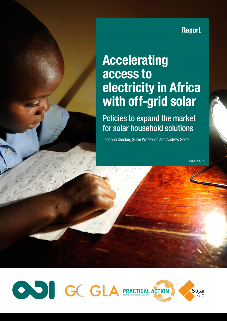## Report

## **Accelerating** access to ere Publication date electricity in Africa with off-grid solar

Policies to expand the market for solar household solutions

Johanna Diecker, Susie Wheeldon and Andrew Scott

January 2016

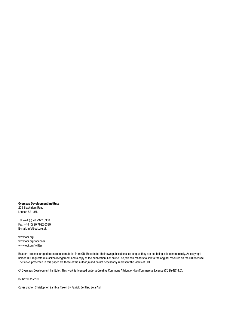Overseas Development Institute 203 Blackfriars Road London SE1 8NJ

Tel. +44 (0) 20 7922 0300 Fax. +44 (0) 20 7922 0399 E-mail: [info@odi.org.uk](mailto:info@odi.org.uk)

<www.odi.org> <www.odi.org/facebook> <www.odi.org/twitter>

Readers are encouraged to reproduce material from ODI Reports for their own publications, as long as they are not being sold commercially. As copyright holder, ODI requests due acknowledgement and a copy of the publication. For online use, we ask readers to link to the original resource on the ODI website. The views presented in this paper are those of the author(s) and do not necessarily represent the views of ODI.

© Overseas Development Institute . This work is licensed under a Creative Commons Attribution-NonCommercial Licence (CC BY-NC 4.0).

ISSN: 2052-7209

Cover photo: Christopher, Zambia, Taken by Patrick Bentley, SolarAid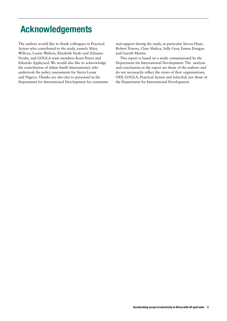# <span id="page-2-0"></span>Acknowledgements

The authors would like to thank colleagues in Practical Action who contributed to the study, namely Mary Willcox, Louise Walters, Elizabeth Njoki and Zibusiso Ncube, and GOGLA team members Koen Peters and Eduardo Appleyard. We would also like to acknowledge the contribution of Adam Smith International, who undertook the policy assessments for Sierra Leone and Nigeria. Thanks are also due to personnel in the Department for International Development for comments

and support during the study, in particular Steven Hunt, Robert Towers, Clare Shakya, Sally Gear, Emma Dougan and Gareth Martin.

This report is based on a study commissioned by the Department for International Development. The analysis and conclusions in the report are those of the authors and do not necessarily reflect the views of their organisations, ODI, GOGLA, Practical Action and SolarAid, nor those of the Department for International Development.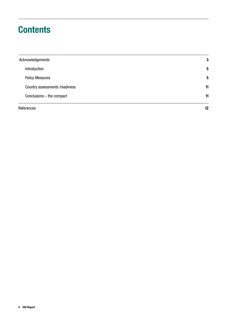# **Contents**

| References                     | 12 |
|--------------------------------|----|
| Conclusions - the compact      | 11 |
| Country assessments /readiness | 11 |
| <b>Policy Measures</b>         | 5  |
| Introduction                   | 5  |
| Acknowledgements               | 3  |
|                                |    |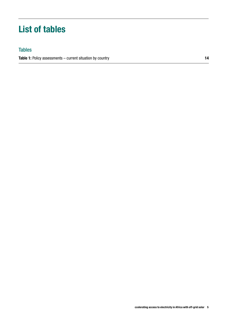# List of tables

## Tables

Table 1: Policy assessments – current situation by country 14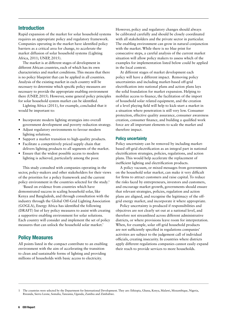### <span id="page-5-0"></span>Introduction

Rapid expansion of the market for solar household systems requires an appropriate policy and regulatory framework. Companies operating in the market have identified policy barriers as a critical area for change, to accelerate the market diffusion of solar household systems (Lighting Africa, 2011; UNEP, 2015).

The market is at different stages of development in different African countries, each of which has its own characteristics and market conditions. This means that there is no policy blueprint that can be applied in all countries. Analysis of the existing market in each country will be necessary to determine which specific policy measures are necessary to provide the appropriate enabling environment there (UNEP, 2015). However, some general policy principles for solar household system market can be identified.

Lighting Africa (2011), for example, concluded that it would be important to:

- **•** Incorporate modern lighting strategies into overall government development and poverty reduction strategy.
- **•** Adjust regulatory environments to favour modern lighting solutions.
- **•** Support a market transition to high-quality products.
- **•** Facilitate a competitively priced supply chain that delivers lighting products to all segments of the market.
- **•** Ensure that the widest possible access to modern lighting is achieved, particularly among the poor.

This study consulted with companies operating in the sector, policy-makers and other stakeholders for their views of the priorities for a policy framework and the current policy environment in the countries selected for the study.<sup>1</sup>

'Based on evidence from countries which have demonstrated success in scaling household solar, like Kenya and Bangladesh, and through consultation with the industry through the Global Off-Grid Lighting Association (GOGLA), Energy Africa has identified the following (DRAFT) list of key policy measures to assist with creating a supportive enabling environment for solar solutions. Each country will consider and implement the set of policy measures that can unlock the household solar market.'

### Policy Measures

All points listed in the compact contribute to an enabling environment with the aim of accelerating the transition to clean and sustainable forms of lighting and providing millions of households with basic access to electricity.

However, policy and regulatory changes should always be calibrated carefully and should be closely coordinated with all stakeholders and the private sector in particular. The enabling environment can grow in natural conjunction with the market. While there is no blue print for consecutive steps, a careful analysis of the current market situation will allow policy makers to assess which of the examples for implementation listed below could be applied in the local context.

At different stages of market development each policy will have a different impact. Removing policy uncertainties and including market-based off-grid electrification into national plans and action plans lays the solid foundation for market expansion. Helping to mobilize access to finance, the facilitation of the import of household solar related equipment, and the creation of a level playing field will help to kick-start a market in a situation where penetration is still very low. Consumer protection, effective quality assurance, consumer awareness creation, consumer finance, and building a qualified work force are all important elements to scale the market and therefore impact.

#### Policy uncertainty

Policy uncertainty can be removed by including marketbased off-grid electrification as an integral part in national electrification strategies, policies, regulations, and action plans. This would help accelerate the replacement of inefficient lighting and electrification products.

A policy vacuum, or mixed messages from governments on the household solar market, can make it very difficult for firms to attract customers and raise capital. To reduce the risks faced by entrepreneurs, investors and customers, and encourage market growth, governments should ensure that relevant strategies, policies, regulation and action plans are aligned, and recognise the legitimacy of the offgrid energy market, and incorporate it where appropriate.

Policy uncertainty is produced if responsibilities and objectives are not clearly set out at a national level, and therefore not streamlined across different administrative districts, or where provisions leave room for interpretation. When, for example, solar off-grid household products are not sufficiently specified in regulations companies' activities are subject to the judgement call of individual officials, creating insecurity. In countries where districts apply different regulations companies cannot easily expand their reach to provide services to more households.

<sup>1</sup> The countries were selected by the Department for International Development. They are: Ethiopia, Ghana, Kenya, Malawi, Mozambique, Nigeria, Rwanda, Sierra Leone, Somalia, Tanzania, Uganda, Zambia and Zimbabwe.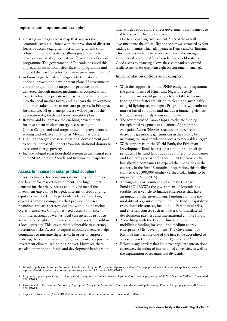#### **Implementation options and examples:**

- **•** Creating an energy access map that assesses the economic costs associated with the provision of different forms of access (e.g. grid, macro/mini-grid, and solar off-grid household systems) allows governments to develop geospatial roll-out of an efficient electrification programme. The government of Tanzania has used this approach in its national electrification programme and allowed the private sector to align to government plans.<sup>2</sup>
- **•** Acknowledge the role of off-grid electrification in national growth and development plans. If governments commit to quantifiable targets for products to be delivered through market mechanisms, coupled with a clear timeline, the private sector is incentivised to move into the local market faster, and it allows the government and other stakeholders to measure progress. In Ethiopia, for instance, off-grid energy access will be part of the new national growth and transformation plan.
- **•** Review and benchmark the enabling environment for investment in clean energy access using the ClimateScope Tool and target annual improvements in scoring and relative ranking, as Mexico has done.<sup>3</sup>
- **•** Highlight energy access as a national development goal to secure increased support from international donors to overcome energy poverty.
- **•** Include off-grid solar household systems as an integral part in the SE4All Action Agenda and Investment Prospectus.

#### Access to finance for solar product suppliers

Access to finance for companies is currently the number one barrier for market development. The huge unmet demand for electricity access can only be met if the investment gap can be bridged, in terms of seed funding, equity as well as debt. In particular a lack of working capital is limiting companies that provide end-user financing, and are therefore dealing with long financing cycles themselves. Companies need access to finance in both international as well as local currencies as products are usually bought on the international market but sold in a local currency. This leaves them vulnerable to currency fluctuation risks. Access to capital in local currencies helps companies to mitigate these risks. In order to support scale up, the key contribution of governments is a positive investment climate (see point 1 above). However, there are also international funds and development bank credit

lines which require more direct government involvement to enable access for firms in a given country.

Due to an enabling environment, 50% of the overall investment into the off-grid lighting sector was attracted by four leading companies which all operate in Kenya and/ or Tanzania. This coincides with the two countries having the strongest absolutes sales rates in Africa for solar household systems. Good access to financing allows these companies to extend credit to customers (see point eight on consumer financing).

#### **Implementation options and examples:**

- **•** With the support from the UNEP en.lighten programme the governments of Niger and Nigeria recently submitted successful proposals to the GEF to secure funding for a faster transition to clean and sustainable off-grid lighting technologies. Programmes will embrace market based solutions and include a financing element for companies to help them reach scale.
- **•** The government of Gambia taps into climate funding through the development of a National Appropriate Mitigation Action (NAMA) that has the objective of decreasing greenhouse gas emissions in the country by increasing the rural population's access to renewable energy.4
- **•** With support from the World Bank, the Ethiopian Development Bank has set up a fund for solar off-grid products. The fund lends against collateral to companies and facilitates access to finance in USD currency. This has allowed companies to expand their activities in the country. In the first 18 months of operation, this facility enabled over 300,000 quality verified solar lights to be imported (UNEP, 2015).
- **•** Through an Environment and Climate Change Fund (FONERWA) the government of Rwanda has established a vehicle to finance enterprises that have an impact on the environment. Funding can take the modality of a grant or credit line. The fund is capitalized from domestic sources, including different ministries, and external sources such as bilateral or multilateral development partners and international climate funds.
- **•** Accrediting with the Green Climate Fund and mobilizing funding for small and medium energy enterprise (SME) development. The Government of Rwanda has become one of the first to be accredited to access Green Climate Fund (GCF) resources.5
- **•** Relaxing any barriers that limit exchange into international currencies, the influx of international currencies, as well as the expatriation of revenues and dividends.

<sup>2</sup> United Republic of Tanzania: National Electrification Program Prospectus [http://www.ied-sa.fr/index.php/en/documents-and-links/publications/send/3](http://www.ied-sa.fr/index.php/en/documents-and-links/publications/send/3-reports/33-national-electrification-program-prospectus.html) [reports/33-national-electrification-program-prospectus.html](http://www.ied-sa.fr/index.php/en/documents-and-links/publications/send/3-reports/33-national-electrification-program-prospectus.html) Accessed: 10/09/2015.

<sup>3</sup> Programa Especial para el Aprovechamiento de Energías Renovables: [www.dof.gob.mx/nota\\_detalle.php?codigo=5342501&fecha=28/04/2014](http://www.dof.gob.mx/nota_detalle.php?codigo=5342501&fecha=28/04/2014) Accessed: 10/09/2015.

<sup>4</sup> Government of the Gambia: Nationally Appropriate Mitigation Actions [http://unfccc.int/files/focus/application/pdf/nama\\_foc\\_prop\\_gambia.pdf](http://unfccc.int/files/focus/application/pdf/nama_foc_prop_gambia.pdf) Accessed: 10/09/2015.

<sup>5</sup> <http://www.fonerwa.org/news/2015/7/9/minirena-accreditation-announcement>Accessed: 10/09/2015.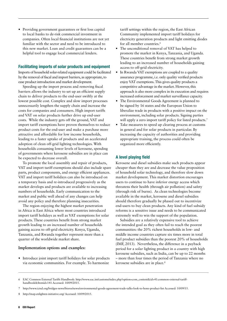8 ODI Report

**•** Providing government guarantees or first loss capital to local banks to de-risk commercial investment in companies. Often local financial institutions are not yet familiar with the sector and need to be introduced to this new market. Loan and credit guarantees can be a helpful tool to engage local commercial lenders.

#### Facilitating imports of solar products and equipment

Imports of household solar-related equipment could be facilitated by the removal of fiscal and import barriers, as appropriate, to ease product introduction and market development.

Speeding up the import process and removing fiscal barriers allows the industry to set up an efficient supply chain to deliver products to the end-user swiftly at the lowest possible cost. Complex and slow import processes unnecessarily lengthen the supply chain and increase the costs for companies and consumers. High import tariffs and VAT on solar products further drive up end-user costs. While the industry gets off the ground, VAT and import tariff exemptions have proven themselves to reduce product costs for the end-user and make a purchase more attractive and affordable for low income households, leading to a faster uptake of products and an accelerated adoption of clean off-grid lighting technologies. With households consuming lower levels of kerosene, spending of governments where kerosene subsidies are in place can be expected to decrease overall.

To promote the local assembly and repair of products, VAT and import tariff exemptions should also include spare parts, product components, and energy efficient appliances. VAT and import tariff holidays can also be introduced on a temporary basis and re-introduced progressively as the market develops and products are available to increasing numbers of households. Early communication to the market and public well ahead of any changes can help avoid any policy and therefore planning insecurities.

The region enjoying the highest market penetration in Africa is East Africa where most countries introduced import tariff holidays as well as VAT exemptions for solar products. These countries benefit from strong market growth leading to an increased number of households gaining access to off-grid electricity. Kenya, Uganda, Tanzania, and Rwanda together represent more than a quarter of the worldwide market share.

#### **Implementation options and examples:**

**•** Introduce joint import tariff holidays for solar products via economic communities. For example. To harmonize

tariff settings within the region, the East African Community implemented import tariff holidays for electricity generation products and light emitting diodes for all member countries.<sup>6</sup>

- **•** The unconditional removal of VAT has helped to promote the market in Kenya, Tanzania, and Uganda. These countries benefit from strong market growth leading to an increased number of households gaining access to off-grid electricity.
- **•** In Rwanda VAT exemptions are coupled to a quality assurance programme, i.e. only quality verified products enjoy VAT exemptions. This gives quality products a competitive advantage in the market. However, this approach is also more complex in its execution and requires increased enforcement and market surveillance capacity.
- **•** The Environmental Goods Agreement is planned to be signed by 16 states and the European Union to liberalize trade in products with a positive impact on the environment, including solar products. Signing parties will apply a zero import tariff policy for listed products.<sup>7</sup>
- **•** Take measures to speed up clearing process at customs in general and for solar products in particular. By increasing the capacity of authorities and providing appropriate training, the process could often be organized more efficiently.

#### A level playing field

Kerosene and diesel subsidies make such products appear cheaper than they are and decrease the value proposition of household solar technology, and therefore slow down market development. This market distortion encourages users to continue to have inferior energy access which threatens their health (through air pollution) and safety (through risk of burns). As clean technologies become available in the market, kerosene and diesel subsidies should therefore gradually be phased out to incentivize end-users to buy clean products. Any kind of fuel subsidy reforms is a sensitive issue and needs to be communicated extremely well to win the support of the population.

Subsidies are a relatively expensive tool to achieve the intended goal as they often fail to reach the poorest communities: the 20% richest households in low- and middle income countries capture six times more in total fuel product subsidies than the poorest 20% of households (IMF, 2013). Nevertheless, the difference in a payback period for a solar lighting product in a country with high kerosene subsidies, such as India, can be up to 22 months – more than four times the period of Tanzania where no kerosene subsidies are in place.<sup>8</sup>

6 EAC Common External Tariffs Handbook: [http://www.eac.int/customs/index.php?option=com\\_content&id=41:common-external-tariff](http://www.eac.int/customs/index.php?option=com_content&id=41:common-external-tariff-handbook&Itemid=141)[handbook&Itemid=141](http://www.eac.int/customs/index.php?option=com_content&id=41:common-external-tariff-handbook&Itemid=141) Accessed: 10/09/2015.

<http://map.enlighten-initiative.org/>Accessed: 10/09/2015.

<sup>7</sup> <http://www.ictsd.org/bridges-news/biores/news/environmental-goods-agreement-trade-talks-look-to-hone-product-list> Accessed: 10/09/15.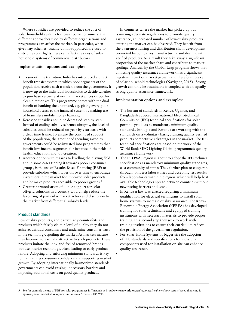Where subsidies are provided to reduce the cost of solar household systems for low-income consumers, the different approaches used by different organisations and programmes can affect the market. In particular, when giveaway schemes, usually donor-supported, are used to distribute solar lights these can affect the sales of solar household systems of commercial distributors.

#### **Implementation options and examples:**

- **•** To smooth the transition, India has introduced a direct benefit transfer system in which poor segments of the population receive cash transfers from the government. It is now up to the individual households to decide whether to purchase kerosene at normal market prices or opt for clean alternatives. This programme comes with the dual benefit of banking the unbanked, e.g. giving every poor household access to the financial system by making use of branchless mobile money banking.
- **•** Kerosene subsidies could be decreased step by step. Instead of ending subsidy schemes abruptly, the level of subsidies could be reduced on year by year basis with a clear time frame. To ensure the continued support of the population, the amount of spending saved by governments could be re-invested into programmes that benefit low income segments, for instance in the fields of health, education and job creation.
- **•** Another option with regards to levelling the playing field, and in some cases tipping it towards poorer consumer groups, is the use of Results-Based Financing (RBF) to provide subsidies which taper off over time to encourage investment in the market for improved solar products and/or make products accessible to poorer groups.<sup>9</sup>
- **•** Greater harmonisation of donor support for solar off-grid solutions in a country would help reduce the favouring of particular market actors and disruption to the market from differential subsidy levels.

#### Product standards

Low quality products, and particularly counterfeits and products which falsely claim a level of quality they do not achieve, defraud consumers and undermine consumer trust in the technology, spoiling the market. As markets mature they become increasingly attractive to such products. These products imitate the look and feel of renowned brands but use inferior technology, often leading to early product failure. Adopting and enforcing minimum standards is key to maintaining consumer confidence and supporting market growth. By adopting internationally harmonized standards, governments can avoid raising unnecessary barriers and imposing additional costs on good quality products.

In countries where the market has picked up but is missing adequate regulations to promote quality assurance, an increased number of low-quality products entering the market can be observed. They benefit from the awareness raising and distribution chain development promoted by companies manufacturing and dealing with verified products. As a result they take away a significant proportion of the market share and contribute to market spoilage. Analysis by the Global Leap program shows that a missing quality assurance framework has a significant negative impact on market growth and therefore uptake of solar household technologies (Navigant, 2015). Strong growth can only be sustainable if coupled with an equally strong quality assurance framework.

#### **Implementation options and examples:**

- **•** The bureau of standards in Kenya, Uganda, and Bangladesh adopted International Electrotechnical Commission (IEC) technical specifications for solar portable products as mandatory minimum quality standards. Ethiopia and Rwanda are working with the standards on a voluntary basis, granting quality verified products competitive advantages in the market. The IEC technical specifications are based on the work of the World Bank / IFC Lighting Global programme's quality assurance framework.
- **•** The ECOWAS region is about to adopt the IEC technical specifications as mandatory minimum quality standards, as a community of states. They further plan to cooperate through joint test laboratories and accepting test results from laboratories within the region, which will help best available technologies spread between countries without new testing barriers and costs.
- In Kenya a law was enacted requiring a minimum qualification for electrical technicians to install solar home systems to increase quality assurance. The Kenya Renewable Energy Association (KEREA) has developed training for solar technicians and equipped training institutions with necessary materials to provide proper training. In a second step they seek to work with training institutions to ensure their curriculum reflects the provision of the government regulation.
- **•** For Solar Home Systems of bigger size the adoption of IEC standards and specifications for individual components used for installation on-site can enhance quality assurance.

**•**

See for example the use of RBF for solar programmes in Tanzania at [http://www.snvworld.org/en/regions/africa/news/how-results-based-financing-is](http://www.snvworld.org/en/regions/africa/news/how-results-based-financing-is-spurring-solar-market-development-in-tanzania)[spurring-solar-market-development-in-tanzania](http://www.snvworld.org/en/regions/africa/news/how-results-based-financing-is-spurring-solar-market-development-in-tanzania) Accessed: 10/09/15.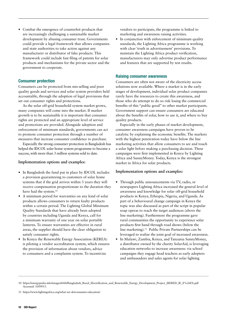**•** Combat the emergence of counterfeit products that are increasingly challenging a sustainable market development by abusing consumer trust. Governments could provide a legal framework that allows companies and state authorities to take action against any manufacturer or distributor of fake products. This framework could include fast filing of patents for solar products and mechanisms for the private sector and the government to cooperate.

#### Consumer protection

Consumers can be protected from mis-selling and poor quality goods and services and solar system providers held accountable, through the adoption of legal provisions that set out consumer rights and protections.

As the solar off-grid household system market grows, many companies will come into the market. If market growth is to be sustainable it is important that consumer rights are protected and an appropriate level of service and protections are provided. Alongside adoption and enforcement of minimum standards, governments can act to promote consumer protection through a number of measures that increase consumer confidence to purchase.

Especially the strong consumer protection in Bangladesh has helped the IDCOL solar home system programme to become a success, with more than 3 million systems sold to date.

#### **Implementation options and examples:**

- **•** In Bangladesh the fund put in place by IDCOL includes a provision guaranteeing to customers of solar home systems that if the grid arrives within 3 years they will receive compensation proportionate to the duration they have had the system.<sup>10</sup>
- **•** A minimum period for warranties on any kind of solar products allows consumers to return faulty products within a certain period. The Lighting Global Minimum Quality Standards that have already been adopted by countries including Uganda and Kenya, call for a minimum warranty of one year on solar portable lanterns. To ensure warranties are effective in rural areas, the supplier should have the clear obligation to satisfy consumer rights.
- **•** In Kenya the Renewable Energy Association (KEREA) is piloting a vendor accreditation system, which ensures the provision of information about vendors, advice to consumers and a complaints system. To incentivize

vendors to participate, the programme is linked to marketing and awareness raising activities.

**•** In conjunction with enforcement of minimum quality standards, the Lighting Africa programme is working with clear 'truth in advertisement' provisions. To maintain the Lighting Africa product verification, manufacturers may only advertise product performance and features that are supported by test results.

#### Raising consumer awareness

Consumers are often not aware of the electricity access solutions now available. Where a market is in the early stages of development, individual solar product companies rarely have the resources to create this awareness, and those who do attempt to do so risk losing the commercial benefits of this "public good" to other market participants. Government support can ensure consumers are educated about the benefits of solar, how to use it, and where to buy quality products.

Especially in the early phases of market development, consumer awareness campaigns have proven to be catalytic by explaining the economic benefits. The markets with the highest penetration today have below the line marketing activities that allow consumers to see and touch a solar light before making a purchasing decision. These campaigns were first implemented in Kenya by Lighting Africa and SunnyMoney. Today, Kenya is the strongest market in Africa for solar products.

#### **Implementation options and examples:**

- **•** Through public announcements via TV, radio, or newspapers Lighting Africa increased the general level of awareness and knowledge for solar off-grid household products in Kenya, Ethiopia, Nigeria, and Uganda. As part of a behavioural change campaign in Kenya the topic was also discussed as part of the script in popular soap operas to reach the target audiences (above the line marketing). Furthermore the programme gave rural communities the opportunity to experience solar products first hand through road shows (below the line marketing).<sup>11</sup> Public Private Partnerships can be leveraged to realize the joint goal of increased awareness.
- **•** In Malawi, Zambia, Kenya, and Tanzania SunnyMoney, a distributor owned by the charity SolarAid, is leveraging education networks to increase awareness: via school campaigns they engage head teachers as early adopters and ambassadors and sales agents for solar lighting

<sup>10</sup> [https://energypedia.info/images/6/6b/Bangladesh\\_Rural\\_Electrification\\_and\\_Renewable\\_Energy\\_Development\\_Project\\_\(RERED\\_II\)\\_E%26FA.pdf](https://energypedia.info/images/6/6b/Bangladesh_Rural_Electrification_and_Renewable_Energy_Development_Project_(RERED_II)_E%26FA.pdf) Accessed: 10/09/15.

<sup>11</sup> <https://www.lightingafrica.org/what-we-do/consumer-education/>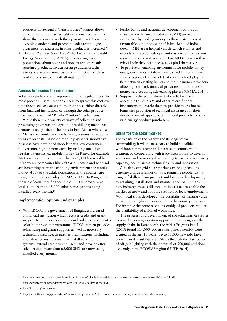products. In Senegal a "light libraries" project allows children to rent out solar lights at a small cost and to share the experience with their parents back home. By exposing students and parents to solar technologies awareness for and trust in solar products is increased.12

**•** Through "Village Solar Days" the Tanzania Renewable Energy Association (TAREA) is educating rural populations about solar and how to recognize substandard products. To attract large audiences, the events are accompanied by a social function, such as traditional dance or football matches.<sup>13</sup>

#### Access to finance for consumers

Solar household systems represent a major up-front cost to most potential users. To enable users to spread this cost over time they need easy access to microfinance, either directly from financial institutions or through the solar product provider by means of "Pay-As-You-Go" mechanisms.

While there are a variety of ways of collecting and processing payments, the option of mobile payments has demonstrated particular benefits in East Africa where use of M-Pesa, or similar mobile banking systems, is reducing transaction costs. Based on mobile payments, innovative business have developed models that allow consumers to overcome high upfront costs by making small but regular payments via mobile money. In Kenya for example M-Kopa has connected more than 225,000 households. In Tanzania companies like Off Grid Electric and Mobisol are benefitting from the enabling environment for mobile money. 43% of the adult population in the country are using mobile money today (GSMA, 2014). In Bangladesh the use of consumer finance in the IDCOL programme leads to more than 65,000 solar home systems being installed every month.14

#### **Implementation options and examples:**

**•** With IDCOL the government of Bangladesh created a financial institution which receives credit and grant support from diverse development banks to implement a solar home system programme. IDCOL in turn provides refinancing and grant support, as well as necessary technical assistance, to partner organisations, including microfinance institutions, that install solar home systems, extend credit to end users, and provide after sales service. More than 65,000 SHSs are now being installed every month.

- **•** Public banks and national development banks can ensure micro finance institutions (MFI) are well capitalized by lending money to these institutions at favourable conditions as the United Bank of India does.15 MFI are a helpful vehicle which enables endusers to overcome high up-front costs when pay as you go solutions are not available. For MFI to take on that critical role they need access to capital themselves.
- **•** To provide an enabling environment for mobile money use, governments in Ghana, Kenya and Tanzania have created a policy framework that creates a level playing field between existing banks and mobile money providers, allowing non-bank financial providers to offer mobile money services alongside existing players (GSMA, 2014).
- **•** Support to the establishment of credit facilities accessible to SACCOs and other micro-finance institutions, to enable them to provide micro-finance loans and provision of technical assistance for their development of appropriate financial products for offgrid energy product purchasers.

#### Skills for the solar market

For expansion of the market and its longer-term sustainability, it will be necessary to build a qualified workforce for the sector and increase in-country value creation, by co-operating with trade associations to develop vocational and university-level training to promote regulatory capacity, local business, technical skills, and innovation.

A healthy off-grid solar market can be expected to generate a large number of jobs, requiring people with a range of skills – from product and business development, to retailing, installation and maintenance. As with any new industry, these skills need to be created to enable the market to grow and support creation of local employment. With local skills developed, the possibility of shifting value creation to a higher proportion into the country increases. For instance the professional assembly of products requires the availability of a skilled workforce.

The progress and development of the solar market creates jobs and income-generation opportunities throughout the supply chain. In Bangladesh, the Africa Progress Panel (2015) found 114,000 jobs in solar panel assembly were created in the last 10 years. Up to 15,000 new jobs have been created in sub-Saharan Africa through the distribution of off-grid lighting with the potential of 500,000 additional jobs only in the ECOWAS region (UNEP, 2014).

- 13 <http://www.tarea-tz.org/index.php/blog/80-solar-village-day-at-malinyi>
- 14 <http://idcol.org/home/solar>

<sup>12</sup> <http://www.solar-aid.org/assets/Uploads/Publications/SolarAid-Light-Library-project-report-external-version-KH-18.09.13.pdf>

<sup>15</sup> <http://www.themix.org/publications/microbanking-bulletin/2011/11/microfinance-funding-microfinance-debt-financing>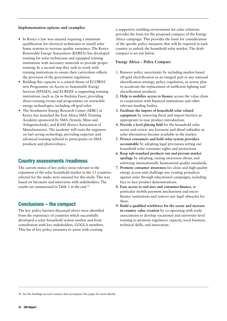#### <span id="page-11-0"></span>**Implementation options and examples:**

- **•** In Kenya a law was enacted requiring a minimum qualification for electrical technicians to install solar home systems to increase quality assurance. The Kenya Renewable Energy Association (KEREA) has developed training for solar technicians and equipped training institutions with necessary materials to provide proper training. In a second step they seek to work with training institutions to ensure their curriculum reflects the provision of the government regulation.
- **•** Building this capacity is a central theme of ECOWAS' new Programme on Access to Sustainable Energy Services (EPASES), and ECREEE is supporting training institutions (such as 2ie in Burkina Faso), providing direct training events and programmes on renewable energy technologies, including off-grid solar.
- **•** The Strathmore Energy Research Center (SERC) in Kenya has launched the East Africa SMA Training Academy sponsored by SMA (System, Mess and Anlagentechnik), and KAM (Kenya Association of Manufacturers). The academy will train the engineers on fuel saving technology, providing expertise and advanced training tailored to participants on SMA products and photovoltaics.

### Country assessments /readiness

The current status of key policy areas relevant to the expansion of the solar household market in the 13 countries selected for the study, were assessed for this study. This was based on literature and interviews with stakeholders. The results are summarised in Table 1 at the end.16

## Conclusions – the compact

The key policy barriers discussed above were identified from the experience of countries which successfully developed a solar household system market and from consultation with key stakeholders, GOGLA members. This list of key policy measures to assist with creating

a supportive enabling environment for solar solutions provides the basis for the proposed compact of the Energy Africa campaign. This provides the basis for consideration of the specific policy measures that will be required in each country to unlock the household solar market. The draft compact is set out below.

#### **Energy Africa – Policy Compact**

- 1. Remove policy uncertainty by including market-based off-grid electrification as an integral part in any national electrification strategy, policy, regulation, or action plan to accelerate the replacement of inefficient lighting and electrification products.
- **2. Help to mobilize access to finance** across the value chain in cooperation with financial institutions and other relevant funding bodies.
- **3. Facilitate the import of household solar related equipment** by removing fiscal and import barriers as appropriate to ease product introduction.
- **4. Provide a level playing field** for the household solar sector and review any kerosene and diesel subsidies as solar alternatives become available in the market.
- **5. Protect consumers and hold solar system providers accountable** by adopting legal provisions setting out household solar consumer rights and protections
- **6. Keep sub-standard products out and prevent market spoilage** by adopting, raising awareness about, and enforcing internationally harmonized quality standards.
- **7. Promote consumer awareness** for clean and high-quality energy access and challenge any existing prejudices against solar through educational campaigns, including face to face product demonstrations.
- **8. Ease access to end user and consumer-finance,** in particular mobile payment mechanisms and micro finance institutions and remove any legal obstacles for these.
- **9. Build a qualified workforce for the sector and increase in-country value creation** by co-operating with trade associations to develop vocational and university-level training to promote regulatory capacity, local business, technical skills, and innovation.

16 See the briefings on each country that accompany this paper for more details.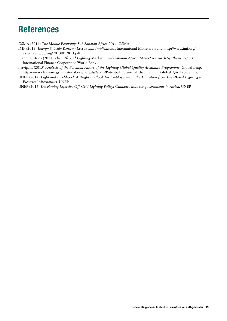## <span id="page-12-0"></span>References

GSMA (2014) *The Mobile Economy: Sub Saharan Africa 2014*. GSMA.

IMF (2013) *Energy Subsidy Reform: Lesson and Implications*. International Monetary Fund. http://www.imf.org/ external/np/pp/eng/2013/012813.pdf

Lighting Africa (2011) *The Off-Grid Lighting Market in Sub-Saharan Africa: Market Research Synthesis Report.* International Finance Corporation/World Bank.

Navigant (2015) *Analysis of the Potential Future of the Lighting Global Quality Assurance Programme.* Global Leap. http://www.cleanenergyministerial.org/Portals/2/pdfs/Potential\_Future\_of\_the\_Lighting\_Global\_QA\_Program.pdf

UNEP (2014) *Light and Livelihood: A Bright Outlook for Employment in the Transition from Fuel-Based Lighting to Electrical Alternatives*. UNEP

UNEP (2015) *Developing Effective Off-Grid Lighting Policy: Guidance note for governments in Africa.* UNEP.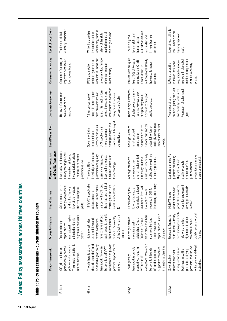Annex: Policy assessments across thirteen countries Annex: Policy assessments across thirteen countries**4** Annex: Policy assessments across thirteen<br>□<br>Pable 1: Policy assessments – current situation by country<br><sup>2</sup>

Table 1: Policy assessments - current situation by country

| <b>Policy Framework</b>                                                                                                                                                                                      | Access to Finance                                                                                                                                                                                         | riers<br>Fiscal Bar                                                                                                                                                            | and Quality Assurance<br><b>Consumer Protection</b>                                                                                                                           | Level Playing Field                                                                                                                                                                    | <b>Consumer Awareness</b>                                                                                                                                                                                   | Consumer Financing                                                                                                                                        | Level of Local Skills                                                                                                                      |
|--------------------------------------------------------------------------------------------------------------------------------------------------------------------------------------------------------------|-----------------------------------------------------------------------------------------------------------------------------------------------------------------------------------------------------------|--------------------------------------------------------------------------------------------------------------------------------------------------------------------------------|-------------------------------------------------------------------------------------------------------------------------------------------------------------------------------|----------------------------------------------------------------------------------------------------------------------------------------------------------------------------------------|-------------------------------------------------------------------------------------------------------------------------------------------------------------------------------------------------------------|-----------------------------------------------------------------------------------------------------------------------------------------------------------|--------------------------------------------------------------------------------------------------------------------------------------------|
| Their implementation is<br>policies and strategies.<br>part of energy access<br>Off-grid solutions are<br>not harmonised.                                                                                    | international investors<br>degree of uncertainty<br>is limited and a high<br>Access to foreign<br>capital and for<br>prevails                                                                             | theory exempt of VAT<br>Solar products are in<br>and tariffs. There is<br>lack of clarity about<br>the status of spare<br>parts.                                               | Low quality products are<br>already starting to spoil<br>by counterfeit products<br>the market, reinforced<br>The level of consumer<br>protection is low.                     |                                                                                                                                                                                        | The level of consumer<br>awareness can be<br>improved.                                                                                                                                                      | Consumer financing is<br>important because of<br>low income levels.                                                                                       | currently insufficient<br>The level of skills is                                                                                           |
| exemptions and provide<br>practical support for the<br>rhetoric around off-grid<br>solar and a good policy<br>Though there is strong<br>framework, more can<br>be done to clarify VAT<br>market.             | track record to benefit<br>have to have a strong<br>of the Cedi remains a<br>finance. The volatility<br>High interest rates<br>are prohibitive and<br>private companies<br>from international<br>concern. | applicable,<br>there has been a lot of<br>are currently 0%, but<br>rates in recent years.<br>actors. Import duties<br>volatility around duty<br>at least to some<br>18% VAT is | knowledge of consumer<br>protection and quality<br>assurance measures.<br>Low-quality products<br>nave reduced trust in<br>There is a little<br>the technology.               | promises of future grid<br>about giveaways and<br>kerosene subsidies.<br>SHS suppliers are<br>Government aim<br>more concerned<br>is to eliminate<br>connections.                      | where there is awareness<br>solar. This is not uniform<br>people in some regions<br>across the country, and<br>have an awareness of<br>many have a negative<br>A high percentage of<br>perception of solar. | a relatively low number<br>available in Ghana but<br>enabled systems are<br>of consumers use<br>PAYG and mobile<br>mobile money.                          | While there are high<br>and literacy, there is<br>needed to underpin<br>evels of education<br>the off-grid sector.<br>a lack of the skills |
| exemptions. More could<br>into national planning<br>supportive measures<br>framework is broadly<br>supportive, including<br>be done to integrate<br>off-grid targets and<br>The regulatory<br>VAT and tariff | capital finance is still a<br>are in place and there<br>The off-grid market<br>Reference Bureaus<br>is a strong banking<br>established. Credit<br>is relatively well-<br>sector. However,<br>challenge.   | uncertainty.<br>Commission allowed<br>exemption from VAT.<br>Certification by the<br>Energy Regulatory<br>2014,<br>Exemptions were<br>repealed in<br>increasing                | not be able to get hold<br>areas consumers may<br>are not implemented<br>Although standards<br>effectively. In some<br>of quality products<br>are in place, they              | scale giveaways may<br>national grid and the<br>mpact solar-market<br>connnections to the<br>Although kerosene<br>potential for large-<br>s not subsidied,<br>subsidies for<br>growth. | of solar products in many<br>There is high awareness<br>regions. However, lack<br>it difficult to buy good<br>of supply may make<br>quality products.                                                       | nterest rates are quite<br>high. 70% of Kenyans<br>million people already<br>are involved in Credit<br>nave mobile money<br>Cooperatives. 15<br>accounts. | Skilled workers are<br>evel of skills and<br>in neighbouring<br>There is a good<br>also in demand<br>human capital.<br>countries.          |
| products, and the level<br>of kerosene and diesel<br>in registering a solar<br>business, importing<br>products, certifying<br>uncertainties exist<br>Several policy<br>subsidies                             | fluctuations pose a high<br>prohibit access to local<br>quite limited. Currency<br>Access to finance is<br>High interest rates at<br>commercial banks<br>risk for companies<br>finance.                   | costs for end-users in<br>products drive up the<br>a very price sensitive<br>and tariffs on solar<br>High VAT rates<br>market.                                                 | protection and market<br>Standards for pico-PV<br>products are lacking.<br>development at risk<br>High influx of low<br>and counterfeits<br>quality products<br>puts consumer |                                                                                                                                                                                        | portable lighting products<br>and home systems is low.<br>Reputation of solar is not<br>Awareness of solar<br>good.                                                                                         | money is in place, but<br>mobile money market<br>regulation for mobile<br>in the country. Good<br>VIFIs are operating<br>is still in very early<br>phase. | Level of local skills is<br>low. Companies are<br>training their own<br>staff.                                                             |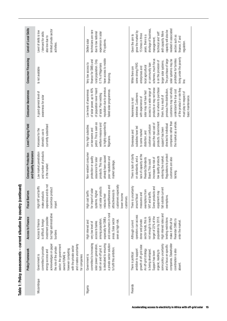|            | Policy Framework                                                                                                                                                                                                                                                                   | Access to Finance                                                                                                                                                                                                                                                                | <b>Fiscal Barriers</b>                                                                                                                                                                                  | and Quality Assurance<br><b>Consumer Protection</b>                                                                                                                                                                                                   | Level Playing Field                                                                                                                                                                                                                               | <b>Consumer Awareness</b>                                                                                                                                                                                                                                                                                                                                                    | <b>Consumer Financing</b>                                                                                                                                                                                                                                                                   | Level of Local Skills                                                                                                                                                                                                                                                         |
|------------|------------------------------------------------------------------------------------------------------------------------------------------------------------------------------------------------------------------------------------------------------------------------------------|----------------------------------------------------------------------------------------------------------------------------------------------------------------------------------------------------------------------------------------------------------------------------------|---------------------------------------------------------------------------------------------------------------------------------------------------------------------------------------------------------|-------------------------------------------------------------------------------------------------------------------------------------------------------------------------------------------------------------------------------------------------------|---------------------------------------------------------------------------------------------------------------------------------------------------------------------------------------------------------------------------------------------------|------------------------------------------------------------------------------------------------------------------------------------------------------------------------------------------------------------------------------------------------------------------------------------------------------------------------------------------------------------------------------|---------------------------------------------------------------------------------------------------------------------------------------------------------------------------------------------------------------------------------------------------------------------------------------------|-------------------------------------------------------------------------------------------------------------------------------------------------------------------------------------------------------------------------------------------------------------------------------|
| Mozambique | acknowledges on paper<br>and creates uncertainty<br>sector; the government<br>with the private sector<br>the role of the private<br>committed to provide<br>however competing<br>energy access and<br>owned FUNAE is<br>Government is<br>for companies                             | but high administrative<br>investment possible<br>is difficult, foreign<br>Access to finance<br>burdens                                                                                                                                                                          | expensive and do not<br>id tariffs<br>ncentivize product<br>make products<br>High VAT an<br>mport                                                                                                       | and number of products<br>Low market penetration<br>in the market                                                                                                                                                                                     | currently subsidised<br>Kerosene for the<br>domestic use is                                                                                                                                                                                       | A good general level of<br>awareness for solar                                                                                                                                                                                                                                                                                                                               | Is not available                                                                                                                                                                                                                                                                            | limited private sector<br>Level of skills is low<br>/ demand for skills<br>also low due to<br>activities.                                                                                                                                                                     |
| Nigeria    | committed to increasing<br>is dedicated to ensuring<br>a private sector solution<br>solar power generation,<br>both on and off grid. It<br>to fulfil this ambition.<br>Government is                                                                                               | and consumers in rural<br>especially for SMEs<br>among population,<br>areas. Solar sector<br>seen as high-risk.<br>High interest and<br>access to banks<br>very low level of                                                                                                     | customers especially<br>competitiveness and<br>cost solar products<br>solar<br>attractiveness to<br>systems. Higher<br>High cost tariffs<br>educes their<br>lower income<br>for import of<br>customers. | Non-existent consumer<br>already have caused<br>protection or quality<br>poor reputation and<br>assurance for solar<br>products. This may<br>market spoilage.                                                                                         | petrol. This is seen as<br>is highly supported by<br>welfare measure and<br>Very high subsidies<br>on kerosene and<br>Nigerians.                                                                                                                  | reputation due to previous<br>of population never heard<br>of solar power, up to 40%<br>failed solar programmes.<br>Low levels of awareness<br>of solar. Poor existing                                                                                                                                                                                                       | have access to mobile<br>rural population. Only<br>finance for SMEs and<br>Very low access to<br>0.1% of Nigerians<br>financing.                                                                                                                                                            | technicians are rare<br>due to low national<br>experience in solar<br>Skilled solar<br>PV systems.                                                                                                                                                                            |
| Rwanda     | companies. Stakeholder<br>growth of off-grid solar.<br>some policy uncertainty<br>and a focus on specific<br>ambition to support<br>coordination is also<br>An off-grid strategy<br>is being developed<br>organic, leading to<br>Support has been<br>There is political<br>absent. | High interest rates and<br>operators can access<br>target of 22% of the<br>not enough to reach<br>population by 2018.<br>sector funds, this is<br>lending restrictions<br>make it difficult for<br>Rwandan SMEs to<br>donor and private<br>enter the market.<br>Although current | There is uncertainty<br>Some products and<br>all outside current<br>exemptions from<br>equipment may<br>VAT and tariffs.<br>measures and<br>around fisca<br>exemptions.                                 | ack of capacity at the<br>Regulations to protect<br>There is lack of clarity<br>entering the market.<br>on standards, and a<br>ow quality products<br>customers are also<br>Rwanda Standards<br>increase the risk of<br>Board. This could<br>lacking. | companies rather than<br>the market as a whole.<br>products. Government<br>about the real cost of<br>directed to individual<br>customer confusion<br>subsidies have led<br>support has been<br>to some market<br>Giveaways and<br>distortion, and | how or where to purchase<br>customers may not wholly<br>products or may not know<br>of the product or role they<br>access to a wide range of<br>previous free distribution,<br>understand the true cost<br>solar may not have had<br>must play in respect of<br>extensive. Customers<br>them. As a result of<br>basic maintenance.<br>with experience of<br>Awareness is not | living under the poverty<br>prohibitive for families<br>The purchase of large<br>schemes, much focus<br>solar systems may be<br>is on the provision of<br>larger solar systems.<br>or community loan<br>some strong PAYG<br>local agricultural<br>enterprises and<br>While there are<br>je. | shortage of business,<br>needed in associated<br>capacity will also be<br>grow the market by<br>skill capacity. More<br>technical and 'soft"<br>15 times in three<br>Given the aim to<br>years, there is a<br>sectors such as<br>finance, IT and<br>management,<br>regulation |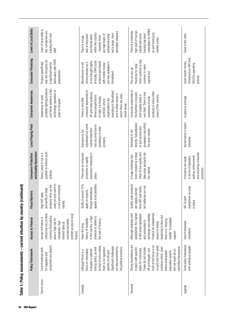|              | Policy Framework                                                                                                                                                                                                                                                                                          | Access to Finance                                                                                                                                                                                                                                                      | ers<br>Fiscal Barri                                                                                                               | and Quality Assurance<br><b>Consumer Protection</b>                                                                    | Level Playing Field                                                                                                   | <b>Consumer Awareness</b>                                                                                                                                                                                                                                    | Consumer Financing                                                                                                                                                            | Level of Local Skills                                                                                                                                                                   |
|--------------|-----------------------------------------------------------------------------------------------------------------------------------------------------------------------------------------------------------------------------------------------------------------------------------------------------------|------------------------------------------------------------------------------------------------------------------------------------------------------------------------------------------------------------------------------------------------------------------------|-----------------------------------------------------------------------------------------------------------------------------------|------------------------------------------------------------------------------------------------------------------------|-----------------------------------------------------------------------------------------------------------------------|--------------------------------------------------------------------------------------------------------------------------------------------------------------------------------------------------------------------------------------------------------------|-------------------------------------------------------------------------------------------------------------------------------------------------------------------------------|-----------------------------------------------------------------------------------------------------------------------------------------------------------------------------------------|
| Sierra Leone | consumers are absent.<br>Current policies both<br>for suppliers and                                                                                                                                                                                                                                       | critical but very limited;<br>prohibit access to local<br>currency fluctuations<br>Access to finance is<br>pose a high risk for<br>commercial banks<br>companies; high<br>interest rates at<br>finance                                                                 | costs for end-users in<br>products drive up the<br>sensitive<br>and tariffs on solar<br>High VAT rates<br>a very price<br>market. | position to enforce such<br>Sierra Leone is not in a<br>policies.                                                      |                                                                                                                       | portable lighting products<br>and home systems is fair;<br>technology reputation of<br>Awareness for solar<br>solar is not good                                                                                                                              | particularly with PAYG<br>was not recognize as<br>a significant barrier<br>Finance specifically<br>propositions                                                               | Level of local skills is<br>low, companies are<br>training their own<br>staff                                                                                                           |
| Somalia      | as that of some states,<br>Significant challenges<br>are also presented by<br>the political economy.<br>there is no regulation<br>energy policy, as well<br>focus on renewable<br>energies in national<br>Although there is a<br>specific to off-grid.                                                    | in the country, a high<br>premium is added to<br>history of instability<br>the cost of finance.<br>Given the long                                                                                                                                                      | appear to be possible.<br>Tariffs of around 15%<br>though exemptions<br>apply on imports,                                         | assurance measures in<br>There are no consumer<br>protection or quality<br>place.                                      | subsidised but some<br>nas occurred due to<br>giveaways of solar<br>market distortion<br>Kerosene is not<br>products. | consumer awareness of<br>operating in Somaliland<br>off-grid solar products<br>and in urban areas in<br>which there are solar<br>Where people know<br>of solar it is largely<br>There is very little<br>organisations are<br>via NGOs, where<br>street lamps | of locally. PAYG solar<br>is not thought highly<br>products purchased<br>are now available in<br>recommended as it<br>Microfinance is not<br>with mobile money<br>Somaliland. | educated, diaspora<br>within the country<br>and a large, more<br>entrepreneurship<br>are high levels of<br>lack of education<br>and formal skills<br>- however there<br>There is a huge |
| Tanzania     | Strong foundations are<br>most of the focus is on<br>on-grid and mini-grids<br>electrified Tanzanians<br>solutions which, even<br>These do not include<br>in place with specific<br>plans for rural areas.<br>off-grid targets, and<br>will not reach all un-<br>population growth,<br>before anticipated | established, the market<br>Finance for established<br>is still undercapitalised<br>exchange rate volatility<br>Although relatively well<br>beginning to flow, but<br>middle" in available<br>there is a "missing<br>and vulnerable to<br>players is slowly<br>support. | products<br>but batteries are not.<br>from VAT and tariffs,<br>are largely exempt<br>Quality solar                                | been created by a large<br>influx of low quality and<br>fake solar products into<br>A huge challenge has<br>the market | directly. Subsidisation<br>giveaways may affect<br>of grid access and<br>the solar market.<br>Kerosene is not         | Consumer awareness in<br>products in some other<br>the Northern Crescent<br>very high. There is low<br>and Coastal areas is<br>areas of the country.<br>awareness of solar                                                                                   | home systems is now<br>financing for solar<br>common in many<br>Pay-as-you-go<br>regions but                                                                                  | undertaken by TAREA<br>high level of human<br>There is a relatively<br>as well training by<br>training has been<br>capital and some<br>market actors.                                   |
| Uganda       | Good policy framework<br>with ambitious targets                                                                                                                                                                                                                                                           | Good framework<br>conditions                                                                                                                                                                                                                                           | on solar<br>exemptions<br>VAT & tariff<br>in place                                                                                | and ensuring consumer<br>setting, enforcement,<br>in terms of standard<br>Provisions are weak<br>protection            | No kerosene or diesel<br>subsidies                                                                                    | Is good on average                                                                                                                                                                                                                                           | infrastructure; MFI and<br>Good mobile money<br>SACCOs operating<br>actively                                                                                                  | Good in the cities                                                                                                                                                                      |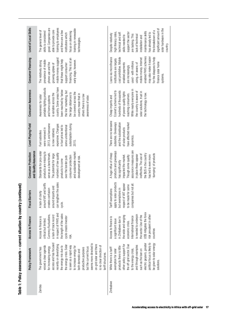|               | <b>Policy Framework</b>                                                                                                                                                                                                                                                                                                                                                                                        | Access to Finance                                                                                                                                                                                                                                            | Suei<br>Fiscal Barr                                                                                                                           | and Quality Assurance<br><b>Consumer Protection</b>                                                                                                                                                                                                                         | Level Playing Field                                                                                                                                                                | <b>Consumer Awareness</b>                                                                                                                                                                                                                                                                                    | Consumer Financing                                                                                                                                                                                                                                                                                              | Level of Local Skills                                                                                                                                                                                                                                                                                    |
|---------------|----------------------------------------------------------------------------------------------------------------------------------------------------------------------------------------------------------------------------------------------------------------------------------------------------------------------------------------------------------------------------------------------------------------|--------------------------------------------------------------------------------------------------------------------------------------------------------------------------------------------------------------------------------------------------------------|-----------------------------------------------------------------------------------------------------------------------------------------------|-----------------------------------------------------------------------------------------------------------------------------------------------------------------------------------------------------------------------------------------------------------------------------|------------------------------------------------------------------------------------------------------------------------------------------------------------------------------------|--------------------------------------------------------------------------------------------------------------------------------------------------------------------------------------------------------------------------------------------------------------------------------------------------------------|-----------------------------------------------------------------------------------------------------------------------------------------------------------------------------------------------------------------------------------------------------------------------------------------------------------------|----------------------------------------------------------------------------------------------------------------------------------------------------------------------------------------------------------------------------------------------------------------------------------------------------------|
| <b>Zambia</b> | access and has focused<br>seems more directed to<br>ecently on diversifying<br>on-grid solar and there<br>the energy crisis. Solar<br>is no clear direction of<br>voiced a clear agenda<br>is seen as a rapid way<br>the energy mix due to<br>to increase energy for<br>for increasing energy<br>but the current focus<br>The government has<br>productive purposes<br>both domestic and<br>tariff structures. | in respect of PAYG and<br>the length of the sales<br>Currency fluctuations,<br>a lack of track record<br>cycle create investor<br>Access to finance is<br>critical but limited<br>risk.                                                                      | can lengthen the sales<br>and tariffs<br>around imports and<br>creates confusion<br>A lack of clarity<br>around VAT<br>cycle.                 | Standards for pico-solar<br>products are missing to<br>and sustainable market<br>serve as a benchmark.<br>numbers of low quality<br>The potential for large<br>consumer protection<br>over the border puts<br>development at risk<br>products to come                       | 2013, and kerosene<br>expensive. Changes<br>subsidisation during<br>in fuel prices led to<br>some unintentional<br>were removed in<br>is now relatively<br>Fuel subsidies<br>2015. | country. Some areas have<br>portable lighting products<br>been reached by 'below<br>the line' marketing, but<br>be covered across the<br>the large distances to<br>is variable across the<br>country mean that in<br>others there is a low<br>Awareness for solar<br>awareness of solar.<br>and home systems | mobile money suggest<br>financing. This is at an<br>that these might help<br>early stage, however.<br>prevalence of mobile<br>The relatively strong<br>phone use and the<br>support consumer<br>growing uptake of                                                                                               | good. Companies are<br>training to employees<br>training in renewable<br>able to provide core<br>The general level of<br>and there are a few<br>skills is considered<br>focus on delivering<br>institutions which<br>technologies                                                                        |
| Zimbabwe      | electric geysers, greater<br>political focus is likely to<br>be given to solar energy<br>the off-grid sector. Due<br>other policy support for<br>and through examples<br>products there is little<br>While there is a tariff<br>to the energy crisis,<br>such as the ban on<br>exemption for solar<br>solutions                                                                                                | US\$ mitigates the forex<br>s needed to underpin<br>risk prevalent in other<br>the sector. Use of the<br>the wide and ranging<br>International finance<br>Access to finance is<br>in Zimbabwe due to<br>a significant issue<br>economic crisis.<br>countries | apply to solar products<br>respect of VAT appear<br>but not all<br>to be made for some<br>but exemptions in<br>Tariff exemptions<br>companies | assurance measures are<br>products and giveaways<br>A huge influx of cheap<br>the \$US in the country<br>neffective. The use of<br>dumping' of products<br>in place these appear<br>has led to even more<br>impacted the market<br>Though some quality<br>nas significantly | There are no kerosene<br>subsidies. Giveaways<br>and the subsidisation<br>have affected market<br>of solar products<br>dynamics                                                    | While nearly everyone in<br>Econet's scheme led to<br>hundreds of thousands<br>the country is aware of<br>solar solutions, trust in<br>of poorer quality lights<br>the technology is low.<br>reaching consumers.<br>Cheap imports and                                                                        | enabled PAYG schemes<br>may also make it easier<br>for the diaspora to help<br>Loans via microfinance<br>cost prohibitive. Mobile<br>mobile money. Internet<br>institutions are largely<br>used - with millions<br>finance solar home<br>using, or aware, of<br>enabled payments<br>are increasingly<br>systems | solar hardware in the<br>significant amount of<br>the breakdown of a<br>maintenance skills<br>high literacy rates,<br>support the sector<br>has already led to<br>technical and soft<br>Despite relatively<br>are lacking. This<br>lack of technical<br>skills needed to<br>installation and<br>country. |

Table 1: Policy assessments - current situation by country (continued) Table 1: Policy assessments – current situation by country (continued)